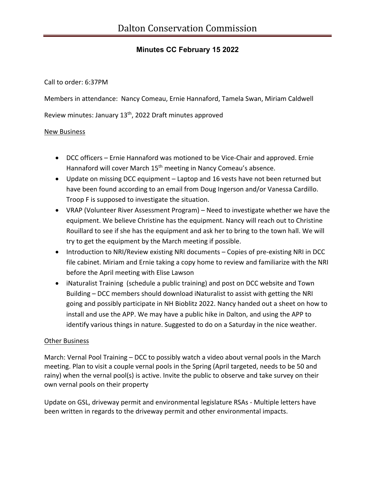## **Minutes CC February 15 2022**

Call to order: 6:37PM

Members in attendance: Nancy Comeau, Ernie Hannaford, Tamela Swan, Miriam Caldwell

Review minutes: January 13th, 2022 Draft minutes approved

## New Business

- DCC officers Ernie Hannaford was motioned to be Vice-Chair and approved. Ernie Hannaford will cover March 15<sup>th</sup> meeting in Nancy Comeau's absence.
- Update on missing DCC equipment Laptop and 16 vests have not been returned but have been found according to an email from Doug Ingerson and/or Vanessa Cardillo. Troop F is supposed to investigate the situation.
- VRAP (Volunteer River Assessment Program) Need to investigate whether we have the equipment. We believe Christine has the equipment. Nancy will reach out to Christine Rouillard to see if she has the equipment and ask her to bring to the town hall. We will try to get the equipment by the March meeting if possible.
- Introduction to NRI/Review existing NRI documents Copies of pre-existing NRI in DCC file cabinet. Miriam and Ernie taking a copy home to review and familiarize with the NRI before the April meeting with Elise Lawson
- iNaturalist Training (schedule a public training) and post on DCC website and Town Building – DCC members should download iNaturalist to assist with getting the NRI going and possibly participate in NH Bioblitz 2022. Nancy handed out a sheet on how to install and use the APP. We may have a public hike in Dalton, and using the APP to identify various things in nature. Suggested to do on a Saturday in the nice weather.

## Other Business

March: Vernal Pool Training – DCC to possibly watch a video about vernal pools in the March meeting. Plan to visit a couple vernal pools in the Spring (April targeted, needs to be 50 and rainy) when the vernal pool(s) is active. Invite the public to observe and take survey on their own vernal pools on their property

Update on GSL, driveway permit and environmental legislature RSAs - Multiple letters have been written in regards to the driveway permit and other environmental impacts.